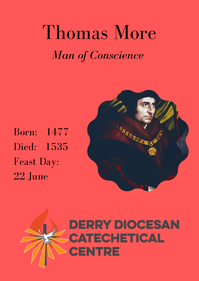## Thomas More *Man of Conscience*

Born: 1477 Died: 1535 Feast Day: 22 June